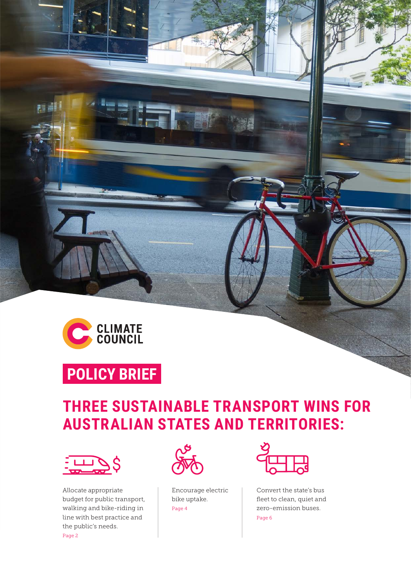

n di

### **POLICY BRIEF**

### **THREE SUSTAINABLE TRANSPORT WINS FOR AUSTRALIAN STATES AND TERRITORIES:**



Allocate appropriate budget for public transport, walking and bike-riding in line with best practice and the public's needs. Page 2



Encourage electric bike uptake. Page 4



Convert the state's bus fleet to clean, quiet and zero-emission buses. Page 6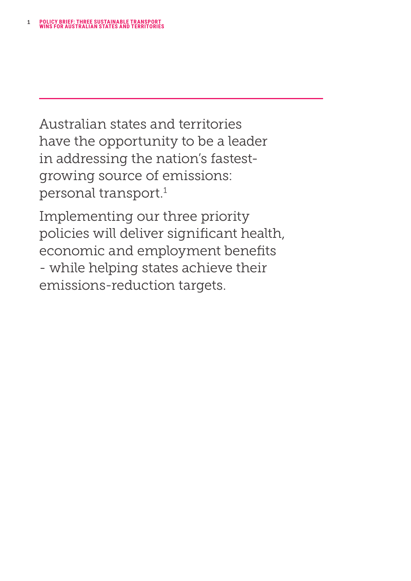<span id="page-1-0"></span>Australian states and territories have the opportunity to be a leader in addressing the nation's fastestgrowing source of emissions: personal transport.[1](#page-9-0)

Implementing our three priority policies will deliver significant health, economic and employment benefits - while helping states achieve their emissions-reduction targets.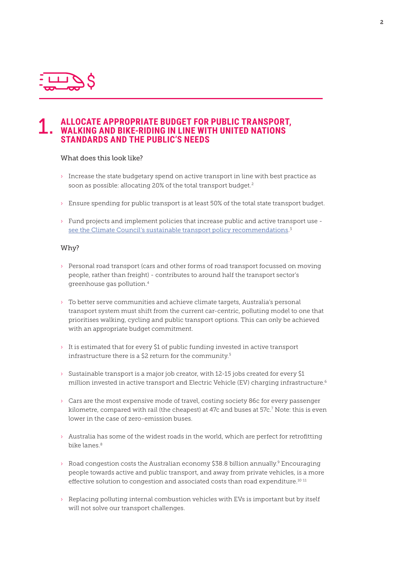<span id="page-2-0"></span>

### 1. **ALLOCATE APPROPRIATE BUDGET FOR PUBLIC TRANSPORT, WALKING AND BIKE-RIDING IN LINE WITH UNITED NATIONS STANDARDS AND THE PUBLIC'S NEEDS**

### What does this look like?

- $\rightarrow$  Increase the state budgetary spend on active transport in line with best practice as soon as possible: allocating 20% of the total transport budget.<sup>2</sup>
- › Ensure spending for public transport is at least 50% of the total state transport budget.
- › Fund projects and implement policies that increase public and active transport use <u>[see the Climate Council's sustainable transport policy recommendations.](https://www.climatecouncil.org.au/sustainable-transport-policies-states/)</u><sup>[3](#page-9-0)</sup>

#### Why?

- › Personal road transport (cars and other forms of road transport focussed on moving people, rather than freight) - contributes to around half the transport sector's greenhouse gas pollution.[4](#page-9-0)
- $\rightarrow$  To better serve communities and achieve climate targets, Australia's personal transport system must shift from the current car-centric, polluting model to one that prioritises walking, cycling and public transport options. This can only be achieved with an appropriate budget commitment.
- › It is estimated that for every \$1 of public funding invested in active transport infrastructure there is a \$2 return for the community.<sup>[5](#page-9-0)</sup>
- › Sustainable transport is a major job creator, with 12-15 jobs created for every \$1 million invested in active transport and Electric Vehicle (EV) charging infrastructure.<sup>6</sup>
- › Cars are the most expensive mode of travel, costing society 86c for every passenger kilometre, compared with rail (the cheapest) at 47c and buses at 57c[.7](#page-9-0) Note: this is even lower in the case of zero-emission buses.
- $\rightarrow$  Australia has some of the widest roads in the world, which are perfect for retrofitting bike lanes<sup>8</sup>
- $\rightarrow$  Road congestion costs the Australian economy \$38.8 billion annually.<sup>9</sup> Encouraging people towards active and public transport, and away from private vehicles, is a more effective solution to congestion and associated costs than road expenditure.<sup>[10](#page-9-0) [11](#page-9-0)</sup>
- $\rightarrow$  Replacing polluting internal combustion vehicles with EVs is important but by itself will not solve our transport challenges.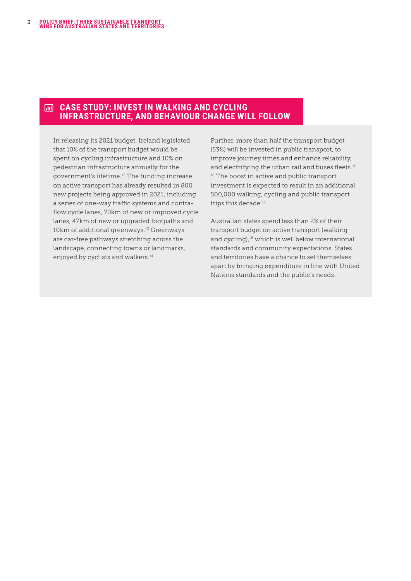#### <span id="page-3-0"></span>**CASE STUDY: INVEST IN WALKING AND CYCLING**  扁 **INFRASTRUCTURE, AND BEHAVIOUR CHANGE WILL FOLLOW**

In releasing its 2021 budget, Ireland legislated that 10% of the transport budget would be spent on cycling infrastructure and 10% on pedestrian infrastructure annually for the government's lifetime.[12](#page-9-0) The funding increase on active transport has already resulted in 800 new projects being approved in 2021, including a series of one-way traffic systems and contraflow cycle lanes, 70km of new or improved cycle lanes, 47km of new or upgraded footpaths and 10km of additional greenways.<sup>13</sup> Greenways are car-free pathways stretching across the landscape, connecting towns or landmarks, enjoyed by cyclists and walkers.<sup>[14](#page-9-0)</sup>

Further, more than half the transport budget (53%) will be invested in public transport, to improve journey times and enhance reliability, and electrifying the urban rail and buses fleets.<sup>[15](#page-9-0)</sup> <sup>16</sup> The boost in active and public transport investment is expected to result in an additional 500,000 walking, cycling and public transport trips this decade.<sup>[17](#page-9-0)</sup>

Australian states spend less than 2% of their transport budget on active transport (walking and cycling),<sup>18</sup> which is well below international standards and community expectations. States and territories have a chance to set themselves apart by bringing expenditure in line with United Nations standards and the public's needs.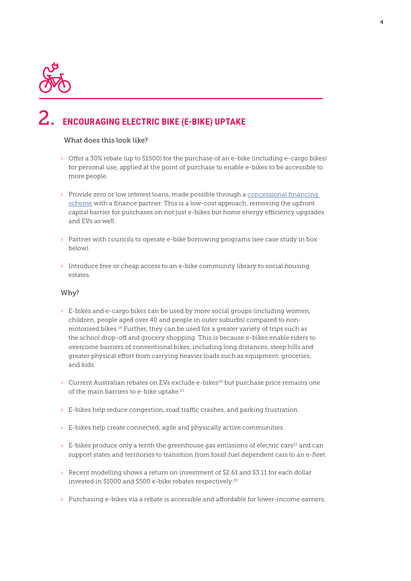<span id="page-4-0"></span>

### 2. **ENCOURAGING ELECTRIC BIKE (E-BIKE) UPTAKE**

### What does this look like?

- › Offer a 30% rebate (up to \$1500) for the purchase of an e-bike (including e-cargo bikes) for personal use, applied at the point of purchase to enable e-bikes to be accessible to more people.
- > Provide zero or low interest loans, made possible through a concessional financing [scheme](https://www.climatecouncil.org.au/resources/how-government-can-use-concessional-finance-to-reduce-emissions/) with a finance partner. This is a low-cost approach, removing the upfront capital barrier for purchases on not just e-bikes but home energy efficiency upgrades and EVs as well.
- › Partner with councils to operate e-bike borrowing programs (see case study in box below).
- › Introduce free or cheap access to an e-bike community library to social housing estates.

### Why?

- $\rightarrow$  E-bikes and e-cargo bikes can be used by more social groups (including women, children, people aged over 40 and people in outer suburbs) compared to nonmotorised bikes[.19](#page-9-0) Further, they can be used for a greater variety of trips such as the school drop-off and grocery shopping. This is because e-bikes enable riders to overcome barriers of conventional bikes, including long distances, steep hills and greater physical effort from carrying heavier loads such as equipment, groceries, and kids.
- $\rightarrow$  Current Australian rebates on EVs exclude e-bikes<sup>20</sup> but purchase price remains one of the main barriers to e-bike uptake.<sup>[21](#page-9-0)</sup>
- $\rightarrow$  E-bikes help reduce congestion, road traffic crashes, and parking frustration.
- $\rightarrow$  E-bikes help create connected, agile and physically active communities.
- $\rightarrow$  E-bikes produce only a tenth the greenhouse gas emissions of electric cars<sup>[22](#page-9-0)</sup> and can support states and territories to transition from fossil fuel dependent cars to an e-fleet.
- $\rightarrow$  Recent modelling shows a return on investment of \$2.61 and \$3.11 for each dollar invested in \$1000 and \$500 e-bike rebates respectively.[23](#page-10-0)
- › Purchasing e-bikes via a rebate is accessible and affordable for lower-income earners.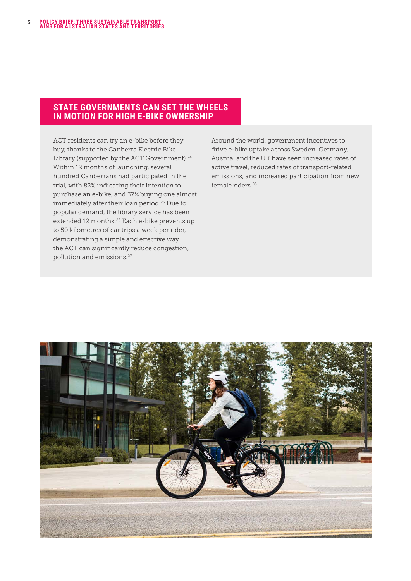### <span id="page-5-0"></span>**STATE GOVERNMENTS CAN SET THE WHEELS IN MOTION FOR HIGH E-BIKE OWNERSHIP**

ACT residents can try an e-bike before they buy, thanks to the Canberra Electric Bike Library (supported by the ACT Government).<sup>[24](#page-10-0)</sup> Within 12 months of launching, several hundred Canberrans had participated in the trial, with 82% indicating their intention to purchase an e-bike, and 37% buying one almost immediately after their loan period.[25](#page-10-0) Due to popular demand, the library service has been extended 12 months.<sup>26</sup> Each e-bike prevents up to 50 kilometres of car trips a week per rider, demonstrating a simple and effective way the ACT can significantly reduce congestion, pollution and emissions.[27](#page-10-0)

Around the world, government incentives to drive e-bike uptake across Sweden, Germany, Austria, and the UK have seen increased rates of active travel, reduced rates of transport-related emissions, and increased participation from new female riders.<sup>[28](#page-10-0)</sup>

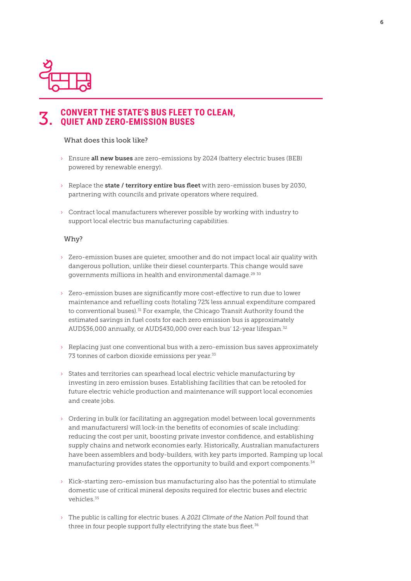<span id="page-6-0"></span>

## 3. **CONVERT THE STATE'S BUS FLEET TO CLEAN, QUIET AND ZERO-EMISSION BUSES**

### What does this look like?

- $\rightarrow$  Ensure all new buses are zero-emissions by 2024 (battery electric buses (BEB) powered by renewable energy).
- $\rightarrow$  Replace the state / territory entire bus fleet with zero-emission buses by 2030, partnering with councils and private operators where required.
- $\rightarrow$  Contract local manufacturers wherever possible by working with industry to support local electric bus manufacturing capabilities.

#### Why?

- › Zero-emission buses are quieter, smoother and do not impact local air quality with dangerous pollution, unlike their diesel counterparts. This change would save governments millions in health and environmental damage.<sup>[29](#page-10-0) [30](#page-10-0)</sup>
- › Zero-emission buses are significantly more cost-effective to run due to lower maintenance and refuelling costs (totaling 72% less annual expenditure compared to conventional buses).<sup>31</sup> For example, the Chicago Transit Authority found the estimated savings in fuel costs for each zero emission bus is approximately AUD\$36,000 annually, or AUD\$430,000 over each bus' 12-year lifespan.[32](#page-10-0)
- › Replacing just one conventional bus with a zero-emission bus saves approximately 73 tonnes of carbon dioxide emissions per year.<sup>[33](#page-10-0)</sup>
- › States and territories can spearhead local electric vehicle manufacturing by investing in zero emission buses. Establishing facilities that can be retooled for future electric vehicle production and maintenance will support local economies and create jobs.
- › Ordering in bulk (or facilitating an aggregation model between local governments and manufacturers) will lock-in the benefits of economies of scale including: reducing the cost per unit, boosting private investor confidence, and establishing supply chains and network economies early. Historically, Australian manufacturers have been assemblers and body-builders, with key parts imported. Ramping up local manufacturing provides states the opportunity to build and export components.[34](#page-10-0)
- $\rightarrow$  Kick-starting zero-emission bus manufacturing also has the potential to stimulate domestic use of critical mineral deposits required for electric buses and electric vehicles<sup>35</sup>
- › The public is calling for electric buses. A *2021 Climate of the Nation Poll* found that three in four people support fully electrifying the state bus fleet. $36$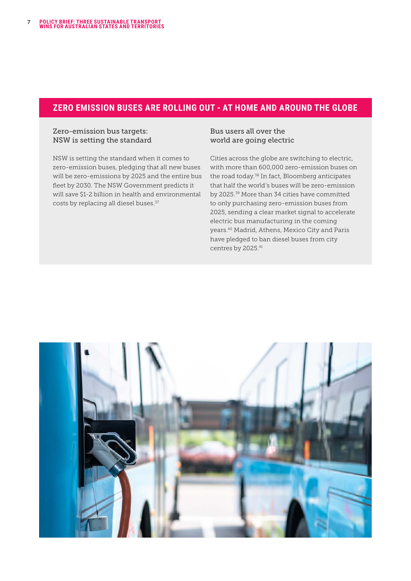### <span id="page-7-0"></span>**ZERO EMISSION BUSES ARE ROLLING OUT - AT HOME AND AROUND THE GLOBE**

### Zero-emission bus targets: NSW is setting the standard

NSW is setting the standard when it comes to zero-emission buses, pledging that all new buses will be zero-emissions by 2025 and the entire bus fleet by 2030. The NSW Government predicts it will save \$1-2 billion in health and environmental costs by replacing all diesel buses.<sup>[37](#page-10-0)</sup>

Bus users all over the world are going electric

Cities across the globe are switching to electric, with more than 600,000 zero-emission buses on the road today.[38](#page-10-0) In fact, Bloomberg anticipates that half the world's buses will be zero-emission by 2025.[39](#page-10-0) More than 34 cities have committed to only purchasing zero-emission buses from 2025, sending a clear market signal to accelerate electric bus manufacturing in the coming years[.40](#page-10-0) Madrid, Athens, Mexico City and Paris have pledged to ban diesel buses from city centres by 2025[.41](#page-10-0)

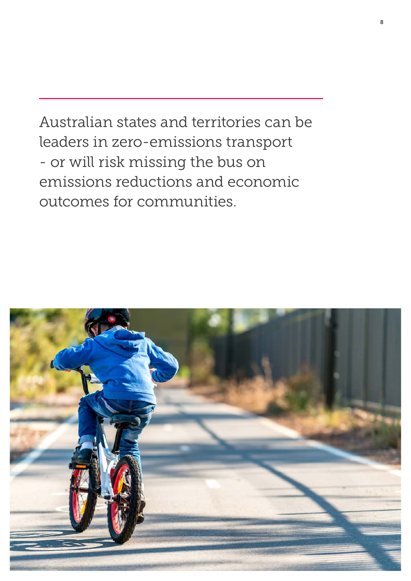Australian states and territories can be leaders in zero-emissions transport - or will risk missing the bus on emissions reductions and economic outcomes for communities.

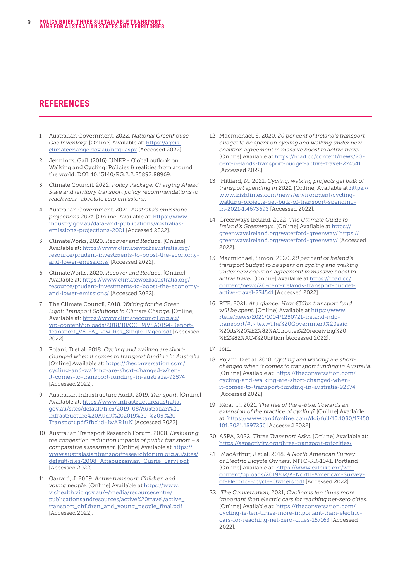### <span id="page-9-0"></span>**REFERENCES**

- [1](#page-1-0) Australian Government, 2022. *National Greenhouse Gas Inventory.* [Online] Available at: [https://ageis.](https://ageis.climatechange.gov.au/nggi.aspx) [climatechange.gov.au/nggi.aspx](https://ageis.climatechange.gov.au/nggi.aspx) [Accessed 2022].
- [2](#page-2-0) Jennings, Gail. (2016). UNEP Global outlook on Walking and Cycling: Policies & realities from around the world. DOI: 10.13140/RG.2.2.25892.88969.
- [3](#page-2-0) Climate Council, 2022. *Policy Package: Charging Ahead. State and territory transport policy recommendations to reach near- absolute zero emissions*.
- [4](#page-2-0) Australian Government, 2021. *Australia's emissions projections 2021.* [Online] Available at: https://www. industry.gov.au/data-and-publications/australiasemissions-projections-2021 [Accessed 2022].
- [5](#page-2-0) ClimateWorks, 2020. *Recover and Reduce.* [Online] Available at: [https://www.climateworksaustralia.org/](https://www.climateworksaustralia.org/resource/prudent-investments-to-boost-the-economy-and-lower-emissions/) [resource/prudent-investments-to-boost-the-economy](https://www.climateworksaustralia.org/resource/prudent-investments-to-boost-the-economy-and-lower-emissions/)[and-lower-emissions/](https://www.climateworksaustralia.org/resource/prudent-investments-to-boost-the-economy-and-lower-emissions/) [Accessed 2022].
- [6](#page-2-0) ClimateWorks, 2020. *Recover and Reduce.* [Online] Available at: [https://www.climateworksaustralia.org/](https://www.climateworksaustralia.org/resource/prudent-investments-to-boost-the-economy-and-lower-emissions/) [resource/prudent-investments-to-boost-the-economy](https://www.climateworksaustralia.org/resource/prudent-investments-to-boost-the-economy-and-lower-emissions/)[and-lower-emissions/](https://www.climateworksaustralia.org/resource/prudent-investments-to-boost-the-economy-and-lower-emissions/) [Accessed 2022].
- [7](#page-2-0) The Climate Council, 2018. *Waiting for the Green Light: Transport Solutions to Climate Change.* [Online] Available at: [https://www.climatecouncil.org.au/](https://www.climatecouncil.org.au/wp-content/uploads/2018/10/CC_MVSA0154-Report-Transport_V6-FA_Low-Res_Single-Pages.pdf) [wp-content/uploads/2018/10/CC\\_MVSA0154-Report-](https://www.climatecouncil.org.au/wp-content/uploads/2018/10/CC_MVSA0154-Report-Transport_V6-FA_Low-Res_Single-Pages.pdf)[Transport\\_V6-FA\\_Low-Res\\_Single-Pages.pdf](https://www.climatecouncil.org.au/wp-content/uploads/2018/10/CC_MVSA0154-Report-Transport_V6-FA_Low-Res_Single-Pages.pdf) [Accessed 2022].
- [8](#page-2-0) Pojani, D et al. 2018. *Cycling and walking are shortchanged when it comes to transport funding in Australia.* [Online] Available at: [https://theconversation.com/](https://theconversation.com/cycling-and-walking-are-short-changed-when-it-comes-to-transport-funding-in-australia-92574) [cycling-and-walking-are-short-changed-when](https://theconversation.com/cycling-and-walking-are-short-changed-when-it-comes-to-transport-funding-in-australia-92574)[it-comes-to-transport-funding-in-australia-92574](https://theconversation.com/cycling-and-walking-are-short-changed-when-it-comes-to-transport-funding-in-australia-92574) [Accessed 2022].
- [9](#page-2-0) Australian Infrastructure Audit, 2019. *Transport*. [Online] Available at: [https://www.infrastructureaustralia.](https://www.infrastructureaustralia.gov.au/sites/default/files/2019-08/Australian%20Infrastructure%20Audit%202019%20-%205.%20Transport.pdf?fbclid=IwAR1uN) [gov.au/sites/default/files/2019-08/Australian%20](https://www.infrastructureaustralia.gov.au/sites/default/files/2019-08/Australian%20Infrastructure%20Audit%202019%20-%205.%20Transport.pdf?fbclid=IwAR1uN) [Infrastructure%20Audit%202019%20-%205.%20](https://www.infrastructureaustralia.gov.au/sites/default/files/2019-08/Australian%20Infrastructure%20Audit%202019%20-%205.%20Transport.pdf?fbclid=IwAR1uN) [Transport.pdf?fbclid=IwAR1uN](https://www.infrastructureaustralia.gov.au/sites/default/files/2019-08/Australian%20Infrastructure%20Audit%202019%20-%205.%20Transport.pdf?fbclid=IwAR1uN) [Accessed 2022].
- [10](#page-2-0) Australian Transport Research Forum, 2008. *Evaluating the congestion reduction impacts of public transport – a comparative assessment.* [Online] Available at [https://](https://www.australasiantransportresearchforum.org.au/sites/default/files/2008_Aftabuzzaman_Currie_Sarvi.pdf) [www.australasiantransportresearchforum.org.au/sites/](https://www.australasiantransportresearchforum.org.au/sites/default/files/2008_Aftabuzzaman_Currie_Sarvi.pdf) [default/files/2008\\_Aftabuzzaman\\_Currie\\_Sarvi.pdf](https://www.australasiantransportresearchforum.org.au/sites/default/files/2008_Aftabuzzaman_Currie_Sarvi.pdf) [Accessed 2022].
- [11](#page-2-0) Garrard, J. 2009. *Active transport: Children and young people.* [Online] Available at [https://www.](https://www.vichealth.vic.gov.au/~/media/resourcecentre/publicationsandresources/active%20travel/active_transport_children_and_young_people_final.pdf) [vichealth.vic.gov.au/~/media/resourcecentre/](https://www.vichealth.vic.gov.au/~/media/resourcecentre/publicationsandresources/active%20travel/active_transport_children_and_young_people_final.pdf) [publicationsandresources/active%20travel/active\\_](https://www.vichealth.vic.gov.au/~/media/resourcecentre/publicationsandresources/active%20travel/active_transport_children_and_young_people_final.pdf) [transport\\_children\\_and\\_young\\_people\\_final.pdf](https://www.vichealth.vic.gov.au/~/media/resourcecentre/publicationsandresources/active%20travel/active_transport_children_and_young_people_final.pdf) [Accessed 2022].
- [12](#page-3-0) Macmichael, S. 2020. *20 per cent of Ireland's transport budget to be spent on cycling and walking under new coalition agreement in massive boost to active travel.* [Online] Available at [https://road.cc/content/news/20](https://road.cc/content/news/20-cent-irelands-transport-budget-active-travel-274541) [cent-irelands-transport-budget-active-travel-274541](https://road.cc/content/news/20-cent-irelands-transport-budget-active-travel-274541) [Accessed 2022].
- [13](#page-3-0) Hilliard, M. 2021. *Cycling, walking projects get bulk of transport spending in 2021.* [Online] Available at [https://](https://www.irishtimes.com/news/environment/cycling-walking-projects-get-bulk-of-transport-spending-in-2021-1.4673693) [www.irishtimes.com/news/environment/cycling](https://www.irishtimes.com/news/environment/cycling-walking-projects-get-bulk-of-transport-spending-in-2021-1.4673693)[walking-projects-get-bulk-of-transport-spending](https://www.irishtimes.com/news/environment/cycling-walking-projects-get-bulk-of-transport-spending-in-2021-1.4673693)[in-2021-1.4673693](https://www.irishtimes.com/news/environment/cycling-walking-projects-get-bulk-of-transport-spending-in-2021-1.4673693) [Accessed 2022].
- [14](#page-3-0) Greenways Ireland, 2022. *The Ultimate Guide to Ireland's Greenways.* [Online] Available at https:// greenwaysireland.org/waterford-greenway/ [https://](https://greenwaysireland.org/waterford-greenway/) [greenwaysireland.org/waterford-greenway/](https://greenwaysireland.org/waterford-greenway/) [Accessed 2022].
- [15](#page-3-0) Macmichael, Simon. 2020. *20 per cent of Ireland's transport budget to be spent on cycling and walking under new coalition agreement in massive boost to active travel*. [Online] Available at [https://road.cc/](https://road.cc/content/news/20-cent-irelands-transport-budget-active-travel-274541) [content/news/20-cent-irelands-transport-budget](https://road.cc/content/news/20-cent-irelands-transport-budget-active-travel-274541)[active-travel-274541](https://road.cc/content/news/20-cent-irelands-transport-budget-active-travel-274541) [Accessed 2022].
- [16](#page-3-0) RTE, 2021. *At a glance: How €35bn transport fund will be spent.* [Online] Available at https://www. rte.ie/news/2021/1004/1250721-ireland-ndptransport/#:~:text=The%20Government%20said %20its%20%E2%82%AC,routes%20receiving%20 %E2%82%AC4%20billion [Accessed 2022].
- [17](#page-3-0) Ibid.
- [18](#page-3-0) Pojani, D et al. 2018. *Cycling and walking are shortchanged when it comes to transport funding in Australia.* [Online] Available at: [https://theconversation.com/](https://theconversation.com/cycling-and-walking-are-short-changed-when-it-comes-to-transport-funding-in-australia-92574) [cycling-and-walking-are-short-changed-when](https://theconversation.com/cycling-and-walking-are-short-changed-when-it-comes-to-transport-funding-in-australia-92574)[it-comes-to-transport-funding-in-australia-92574](https://theconversation.com/cycling-and-walking-are-short-changed-when-it-comes-to-transport-funding-in-australia-92574) [Accessed 2022].
- [19](#page-4-0) Rérat, P., 2021. *The rise of the e-bike: Towards an extension of the practice of cycling?* [Online] Available at: [https://www.tandfonline.com/doi/full/10.1080/17450](https://www.tandfonline.com/doi/full/10.1080/17450101.2021.1897236) [101.2021.1897236](https://www.tandfonline.com/doi/full/10.1080/17450101.2021.1897236) [Accessed 2022]
- [20](#page-4-0) ASPA, 2022. *Three Transport Asks.* [Online] Available at: <https://aspactivity.org/three-transport-priorities/>
- [21](#page-4-0) MacArthur, J et al. 2018. *A North American Survey of Electric Bicycle Owners.* NITC-RR-1041. Portland [Online] Available at: [https://www.calbike.org/wp](https://www.calbike.org/wp-content/uploads/2019/02/A-North-American-Survey-of-Electric-Bicycle-Owners.pdf)[content/uploads/2019/02/A-North-American-Survey](https://www.calbike.org/wp-content/uploads/2019/02/A-North-American-Survey-of-Electric-Bicycle-Owners.pdf)[of-Electric-Bicycle-Owners.pdf](https://www.calbike.org/wp-content/uploads/2019/02/A-North-American-Survey-of-Electric-Bicycle-Owners.pdf) [Accessed 2022].
- [22](#page-4-0) *The Conversation,* 2021, *Cycling is ten times more important than electric cars for reaching net-zero cities.*  [Online] Available at: [https://theconversation.com/](https://theconversation.com/cycling-is-ten-times-more-important-than-electric-cars-for-reaching-net-zero-cities-157163) [cycling-is-ten-times-more-important-than-electric](https://theconversation.com/cycling-is-ten-times-more-important-than-electric-cars-for-reaching-net-zero-cities-157163)[cars-for-reaching-net-zero-cities-157163](https://theconversation.com/cycling-is-ten-times-more-important-than-electric-cars-for-reaching-net-zero-cities-157163) [Accessed 2022].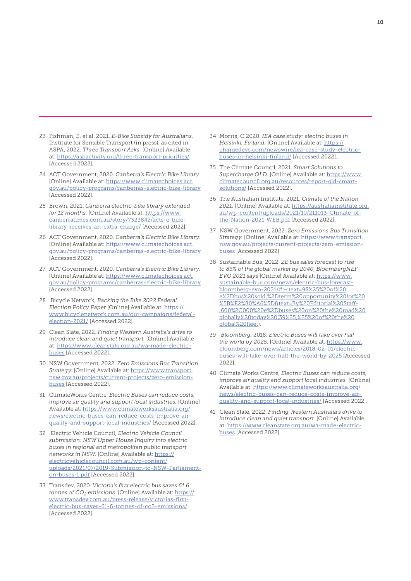- <span id="page-10-0"></span>[23](#page-4-0) Fishman, E. et al. 2021. *E-Bike Subsidy for Australians*, Institute for Sensible Transport (in press), as cited in ASPA, 2022. *Three Transport Asks.* [Online] Available at: <https://aspactivity.org/three-transport-priorities/> [Accessed 2022].
- [24](#page-5-0) ACT Government, 2020. *Canberra's Electric Bike Library.*  [Online] Available at: [https://www.climatechoices.act.](https://www.climatechoices.act.gov.au/policy-programs/canberras-electric-bike-library) [gov.au/policy-programs/canberras-electric-bike-library](https://www.climatechoices.act.gov.au/policy-programs/canberras-electric-bike-library) [Accessed 2022].
- [25](#page-5-0) Brown, 2021. *Canberra electric-bike library extended*  for 12 months. [Online] Available at: [https://www.](https://www.canberratimes.com.au/story/7323842/acts-e-bike-library-receives-an-extra-charge/) [canberratimes.com.au/story/7323842/acts-e-bike](https://www.canberratimes.com.au/story/7323842/acts-e-bike-library-receives-an-extra-charge/)[library-receives-an-extra-charge/](https://www.canberratimes.com.au/story/7323842/acts-e-bike-library-receives-an-extra-charge/) [Accessed 2022].
- [26](#page-5-0) ACT Government, 2020. C*anberra's Electric Bike Library.*  [Online] Available at: [https://www.climatechoices.act.](https://www.climatechoices.act.gov.au/policy-programs/canberras-electric-bike-library) [gov.au/policy-programs/canberras-electric-bike-library](https://www.climatechoices.act.gov.au/policy-programs/canberras-electric-bike-library) [Accessed 2022].
- [27](#page-5-0) ACT Government, 2020. *Canberra's Electric Bike Library.*  [Online] Available at: [https://www.climatechoices.act.](https://www.climatechoices.act.gov.au/policy-programs/canberras-electric-bike-library) [gov.au/policy-programs/canberras-electric-bike-library](https://www.climatechoices.act.gov.au/policy-programs/canberras-electric-bike-library) [Accessed 2022].
- [28](#page-5-0) Bicycle Network, *Backing the Bike 2022 Federal Election Policy Paper* [Online] Available at: [https://](https://www.bicyclenetwork.com.au/our-campaigns/federal-election-2021/) [www.bicyclenetwork.com.au/our-campaigns/federal](https://www.bicyclenetwork.com.au/our-campaigns/federal-election-2021/)[election-2021/](https://www.bicyclenetwork.com.au/our-campaigns/federal-election-2021/) [Accessed 2022].
- [29](#page-6-0) Clean Slate, 2022. *Finding Western Australia's drive to introduce clean and quiet transport.* [Online] Available at: [https://www.cleanstate.org.au/wa-made-electric](https://www.cleanstate.org.au/wa-made-electric-buses)[buses](https://www.cleanstate.org.au/wa-made-electric-buses) [Accessed 2022].
- [30](#page-6-0) NSW Government, 2022. *Zero Emissions Bus Transition Strategy.* [Online] Available at: [https://www.transport.](https://www.transport.nsw.gov.au/projects/current-projects/zero-emission-buses) [nsw.gov.au/projects/current-projects/zero-emission](https://www.transport.nsw.gov.au/projects/current-projects/zero-emission-buses)[buses](https://www.transport.nsw.gov.au/projects/current-projects/zero-emission-buses) [Accessed 2022].
- [31](#page-6-0) ClimateWorks Centre, *Electric Buses can reduce costs, improve air quality and support local industries.* [Online] Available at: [https://www.climateworksaustralia.org/](https://www.climateworksaustralia.org/news/electric-buses-can-reduce-costs-improve-air-quality-and-support-local-industries/) [news/electric-buses-can-reduce-costs-improve-air](https://www.climateworksaustralia.org/news/electric-buses-can-reduce-costs-improve-air-quality-and-support-local-industries/)[quality-and-support-local-industries/](https://www.climateworksaustralia.org/news/electric-buses-can-reduce-costs-improve-air-quality-and-support-local-industries/) [Accessed 2022].
- [32](#page-6-0) Electric Vehicle Council, *Electric Vehicle Council submission: NSW Upper House Inquiry into electric buses in regional and metropolitan public transport networks in NSW.* [Online] Available at: [https://](https://electricvehiclecouncil.com.au/wp-content/uploads/2021/07/2019-Submission-to-NSW-Parliament-on-buses-1.pdf) [electricvehiclecouncil.com.au/wp-content/](https://electricvehiclecouncil.com.au/wp-content/uploads/2021/07/2019-Submission-to-NSW-Parliament-on-buses-1.pdf) [uploads/2021/07/2019-Submission-to-NSW-Parliament](https://electricvehiclecouncil.com.au/wp-content/uploads/2021/07/2019-Submission-to-NSW-Parliament-on-buses-1.pdf)[on-buses-1.pdf](https://electricvehiclecouncil.com.au/wp-content/uploads/2021/07/2019-Submission-to-NSW-Parliament-on-buses-1.pdf) [Accessed 2022].
- [33](#page-6-0) Transdev, 2020. *Victoria's first electric bus saves 61.6 tonnes of CO2 emissions.* [Online] Available at: [https://](https://www.transdev.com.au/press-release/victorias-first-electric-bus-saves-61-6-tonnes-of-co2-emissions/) [www.transdev.com.au/press-release/victorias-first](https://www.transdev.com.au/press-release/victorias-first-electric-bus-saves-61-6-tonnes-of-co2-emissions/)[electric-bus-saves-61-6-tonnes-of-co2-emissions/](https://www.transdev.com.au/press-release/victorias-first-electric-bus-saves-61-6-tonnes-of-co2-emissions/) [Accessed 2022].
- [34](#page-6-0) Morris, C.2020. *IEA case study: electric buses in Helsinki, Finland.* [Online] Available at: [https://](https://chargedevs.com/newswire/iea-case-study-electric-buses-in-helsinki-finland/) [chargedevs.com/newswire/iea-case-study-electric](https://chargedevs.com/newswire/iea-case-study-electric-buses-in-helsinki-finland/)[buses-in-helsinki-finland/](https://chargedevs.com/newswire/iea-case-study-electric-buses-in-helsinki-finland/) [Accessed 2022].
- [35](#page-6-0) The Climate Council, 2021. *Smart Solutions to Supercharge QLD.* [Online] Available at: [https://www.](https://www.climatecouncil.org.au/resources/report-qld-smart-solutions/) [climatecouncil.org.au/resources/report-qld-smart](https://www.climatecouncil.org.au/resources/report-qld-smart-solutions/)[solutions/](https://www.climatecouncil.org.au/resources/report-qld-smart-solutions/) [Accessed 2022].
- [36](#page-6-0) The Australian Institute, 2021. *Climate of the Nation 2021.* [Online] Available at: https://australiainstitute.org. au/wp-content/uploads/2021/10/211013-Climate-ofthe-Nation-2021-WEB.pdf [Accessed 2022].
- [37](#page-7-0) NSW Government, 2022. *Zero Emissions Bus Transition Strategy.* [Online] Available at: [https://www.transport.](https://www.transport.nsw.gov.au/projects/current-projects/zero-emission-buses) [nsw.gov.au/projects/current-projects/zero-emission](https://www.transport.nsw.gov.au/projects/current-projects/zero-emission-buses)[buses](https://www.transport.nsw.gov.au/projects/current-projects/zero-emission-buses) [Accessed 2022].
- [38](#page-7-0) Sustainable Bus, 2022. *ZE bus sales forecast to rise to 83% of the global market by 2040, BloombergNEF EVO 2021 says* [Online] Available at: https://www. sustainable-bus.com/news/electric-bus-forecastbloomberg-evo-2021/#:~:text=98%25%20of%20 e%2Dbus%20sold,%2Dterm%20opportunity%20for%20 %5B%E2%80%A6%5D&text=By%20Editorial%20Staff- ,600%2C000%20e%2Dbuses%20on%20the%20road%20 globally%20today%20(39%25,%25%20of%20the%20 global%20fleet).
- [39](#page-7-0) *Bloomberg,* 2018. *Electric Buses will take over half the world by 2025.* [Online] Available at: [https://www.](https://www.bloomberg.com/news/articles/2018-02-01/electric-buses-will-take-over-half-the-world-by-2025) [bloomberg.com/news/articles/2018-02-01/electric](https://www.bloomberg.com/news/articles/2018-02-01/electric-buses-will-take-over-half-the-world-by-2025)[buses-will-take-over-half-the-world-by-2025](https://www.bloomberg.com/news/articles/2018-02-01/electric-buses-will-take-over-half-the-world-by-2025) [Accessed 2022].
- [40](#page-7-0) Climate Works Centre, *Electric Buses can reduce costs, improve air quality and support local industries.* [Online] Available at: [https://www.climateworksaustralia.org/](https://www.climateworksaustralia.org/news/electric-buses-can-reduce-costs-improve-air-quality-and-support-local-industries/) [news/electric-buses-can-reduce-costs-improve-air](https://www.climateworksaustralia.org/news/electric-buses-can-reduce-costs-improve-air-quality-and-support-local-industries/)[quality-and-support-local-industries/](https://www.climateworksaustralia.org/news/electric-buses-can-reduce-costs-improve-air-quality-and-support-local-industries/) [Accessed 2022].
- [41](#page-7-0) Clean Slate, 2022. *Finding Western Australia's drive to introduce clean and quiet transport.* [Online] Available at: [https://www.cleanstate.org.au/wa-made-electric](https://www.cleanstate.org.au/wa-made-electric-buses)[buses](https://www.cleanstate.org.au/wa-made-electric-buses) [Accessed 2022].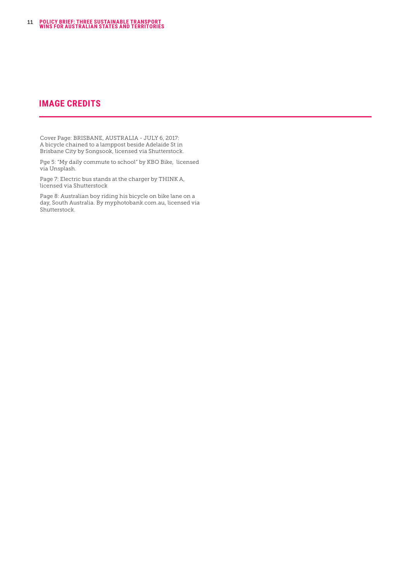### **IMAGE CREDITS**

Cover Page: BRISBANE, AUSTRALIA - JULY 6, 2017: A bicycle chained to a lamppost beside Adelaide St in Brisbane City by Songsook, licensed via Shutterstock.

Pge 5: "My daily commute to school" by KBO Bike, licensed via Unsplash.

Page 7: Electric bus stands at the charger by THINK A, licensed via Shutterstock

Page 8: Australian boy riding his bicycle on bike lane on a day, South Australia. By myphotobank.com.au, licensed via Shutterstock.